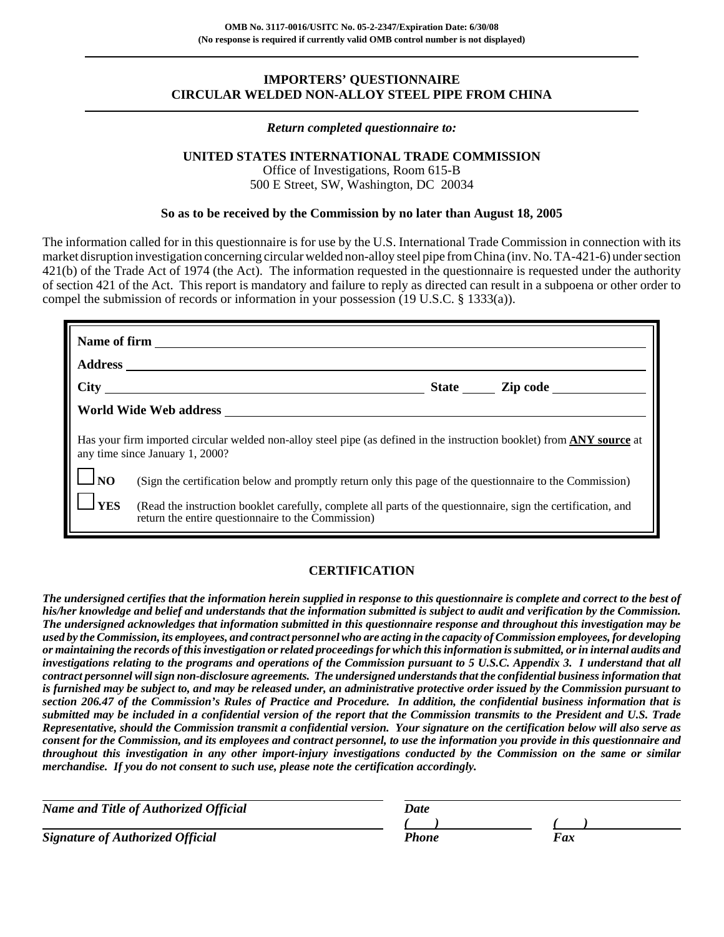### **IMPORTERS' QUESTIONNAIRE CIRCULAR WELDED NON-ALLOY STEEL PIPE FROM CHINA**

#### *Return completed questionnaire to:*

## **UNITED STATES INTERNATIONAL TRADE COMMISSION**

Office of Investigations, Room 615-B 500 E Street, SW, Washington, DC 20034

#### **So as to be received by the Commission by no later than August 18, 2005**

The information called for in this questionnaire is for use by the U.S. International Trade Commission in connection with its market disruption investigation concerning circular welded non-alloy steel pipe from China (inv. No. TA-421-6) under section 421(b) of the Trade Act of 1974 (the Act). The information requested in the questionnaire is requested under the authority of section 421 of the Act. This report is mandatory and failure to reply as directed can result in a subpoena or other order to compel the submission of records or information in your possession (19 U.S.C. § 1333(a)).

|                   | $\frac{City}{1}$                                                                                                                                                    | State <u>Zip</u> code |
|-------------------|---------------------------------------------------------------------------------------------------------------------------------------------------------------------|-----------------------|
|                   | World Wide Web address                                                                                                                                              |                       |
|                   | Has your firm imported circular welded non-alloy steel pipe (as defined in the instruction booklet) from ANY source at<br>any time since January 1, 2000?           |                       |
| $\frac{1}{10}$ NO | (Sign the certification below and promptly return only this page of the questionnaire to the Commission)                                                            |                       |
| $1$ YES           | (Read the instruction booklet carefully, complete all parts of the questionnaire, sign the certification, and<br>return the entire questionnaire to the Commission) |                       |

#### **CERTIFICATION**

*The undersigned certifies that the information herein supplied in response to this questionnaire is complete and correct to the best of his/her knowledge and belief and understands that the information submitted is subject to audit and verification by the Commission. The undersigned acknowledges that information submitted in this questionnaire response and throughout this investigation may be used by the Commission, its employees, and contract personnel who are acting in the capacity of Commission employees, for developing or maintaining the records of this investigation or related proceedings for which this information is submitted, or in internal audits and investigations relating to the programs and operations of the Commission pursuant to 5 U.S.C. Appendix 3. I understand that all contract personnel will sign non-disclosure agreements. The undersigned understands that the confidential business information that is furnished may be subject to, and may be released under, an administrative protective order issued by the Commission pursuant to section 206.47 of the Commission's Rules of Practice and Procedure. In addition, the confidential business information that is submitted may be included in a confidential version of the report that the Commission transmits to the President and U.S. Trade Representative, should the Commission transmit a confidential version. Your signature on the certification below will also serve as consent for the Commission, and its employees and contract personnel, to use the information you provide in this questionnaire and throughout this investigation in any other import-injury investigations conducted by the Commission on the same or similar merchandise.**If you do not consent to such use, please note the certification accordingly.*

| <b>Name and Title of Authorized Official</b> | Date  |            |
|----------------------------------------------|-------|------------|
|                                              |       |            |
| <b>Signature of Authorized Official</b>      | Phone | <i>Fax</i> |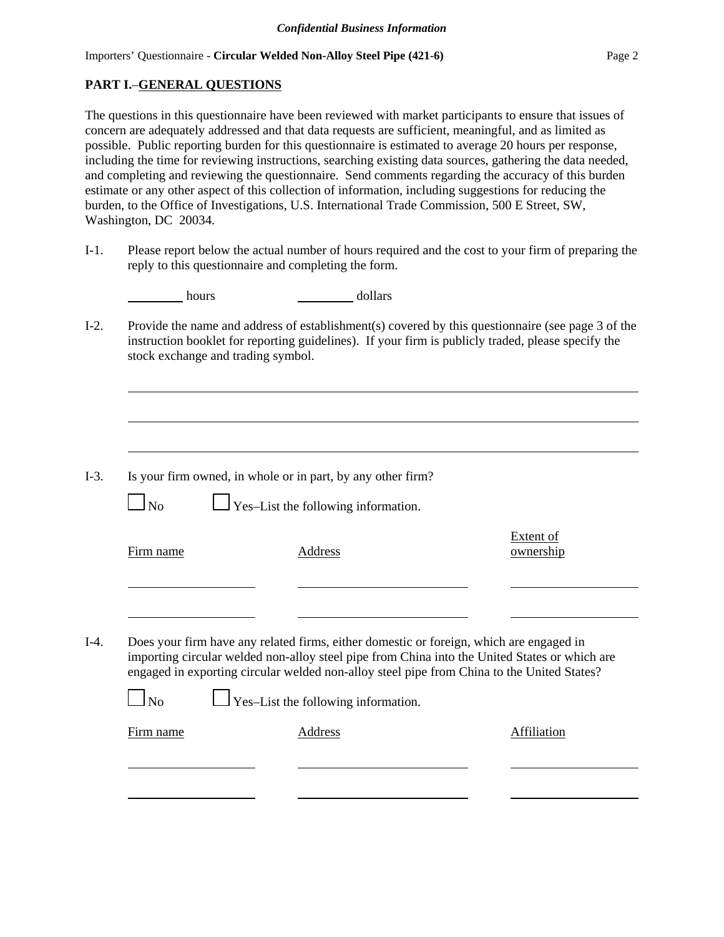## **PART I.**–**GENERAL QUESTIONS**

The questions in this questionnaire have been reviewed with market participants to ensure that issues of concern are adequately addressed and that data requests are sufficient, meaningful, and as limited as possible. Public reporting burden for this questionnaire is estimated to average 20 hours per response, including the time for reviewing instructions, searching existing data sources, gathering the data needed, and completing and reviewing the questionnaire. Send comments regarding the accuracy of this burden estimate or any other aspect of this collection of information, including suggestions for reducing the burden, to the Office of Investigations, U.S. International Trade Commission, 500 E Street, SW, Washington, DC 20034.

I-1. Please report below the actual number of hours required and the cost to your firm of preparing the reply to this questionnaire and completing the form.

| hours | dollars |
|-------|---------|
|       |         |

I-2. Provide the name and address of establishment(s) covered by this questionnaire (see page 3 of the instruction booklet for reporting guidelines). If your firm is publicly traded, please specify the stock exchange and trading symbol.

| Is your firm owned, in whole or in part, by any other firm? | $I-3$ . |  |  |  |  |  |  |  |  |  |
|-------------------------------------------------------------|---------|--|--|--|--|--|--|--|--|--|
|-------------------------------------------------------------|---------|--|--|--|--|--|--|--|--|--|

 $\Box$  Yes–List the following information.

| Firm name | Address                                                                                                                                                                                                                                                                                | Extent of<br>ownership |
|-----------|----------------------------------------------------------------------------------------------------------------------------------------------------------------------------------------------------------------------------------------------------------------------------------------|------------------------|
|           |                                                                                                                                                                                                                                                                                        |                        |
|           | Does your firm have any related firms, either domestic or foreign, which are engaged in<br>importing circular welded non-alloy steel pipe from China into the United States or which are<br>engaged in exporting circular welded non-alloy steel pipe from China to the United States? |                        |
|           |                                                                                                                                                                                                                                                                                        |                        |

| Firm name | Address | Affiliation |
|-----------|---------|-------------|
|           |         |             |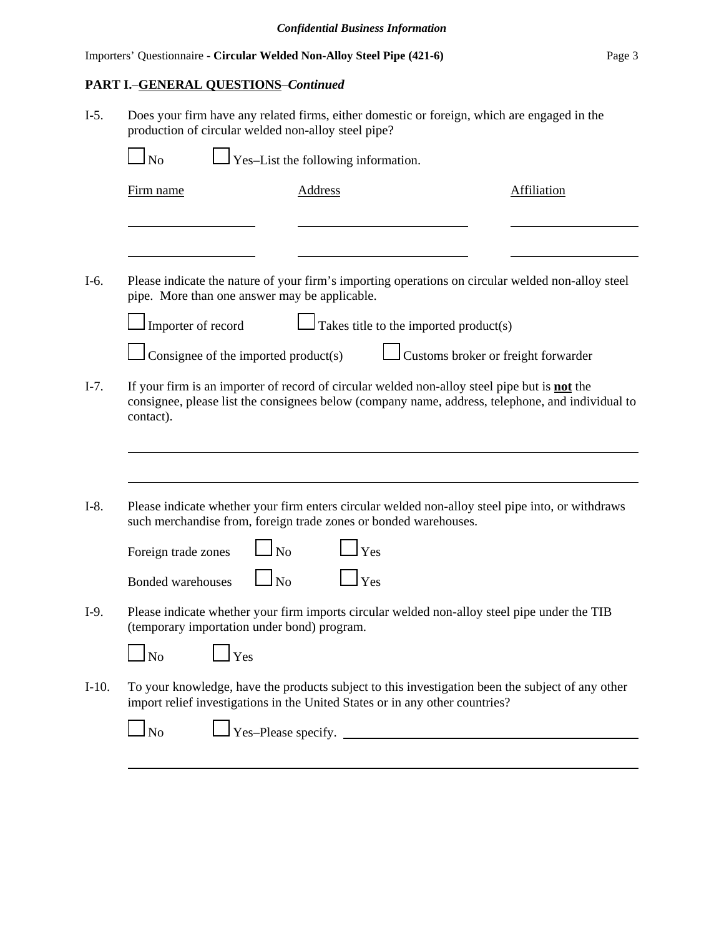## **PART I.**–**GENERAL QUESTIONS**–*Continued*

I-5. Does your firm have any related firms, either domestic or foreign, which are engaged in the production of circular welded non-alloy steel pipe?

| Firm name                                                                                                   | <b>Address</b>                              |                                                                              | <b>Affiliation</b>                                                                                |
|-------------------------------------------------------------------------------------------------------------|---------------------------------------------|------------------------------------------------------------------------------|---------------------------------------------------------------------------------------------------|
|                                                                                                             |                                             |                                                                              |                                                                                                   |
| pipe. More than one answer may be applicable.                                                               |                                             |                                                                              | Please indicate the nature of your firm's importing operations on circular welded non-alloy steel |
| I Importer of record                                                                                        |                                             | Takes title to the imported product(s)                                       |                                                                                                   |
|                                                                                                             | $\Box$ Consignee of the imported product(s) |                                                                              | Customs broker or freight forwarder                                                               |
|                                                                                                             |                                             |                                                                              |                                                                                                   |
|                                                                                                             |                                             |                                                                              | Please indicate whether your firm enters circular welded non-alloy steel pipe into, or withdraws  |
|                                                                                                             | No                                          | such merchandise from, foreign trade zones or bonded warehouses.<br>Yes      |                                                                                                   |
|                                                                                                             | $\overline{\phantom{a}}$ No                 | Yes                                                                          |                                                                                                   |
|                                                                                                             |                                             |                                                                              | Please indicate whether your firm imports circular welded non-alloy steel pipe under the TIB      |
| $\ln$                                                                                                       | Yes                                         |                                                                              |                                                                                                   |
| contact).<br>Foreign trade zones<br><b>Bonded warehouses</b><br>(temporary importation under bond) program. |                                             | import relief investigations in the United States or in any other countries? | To your knowledge, have the products subject to this investigation been the subject of any other  |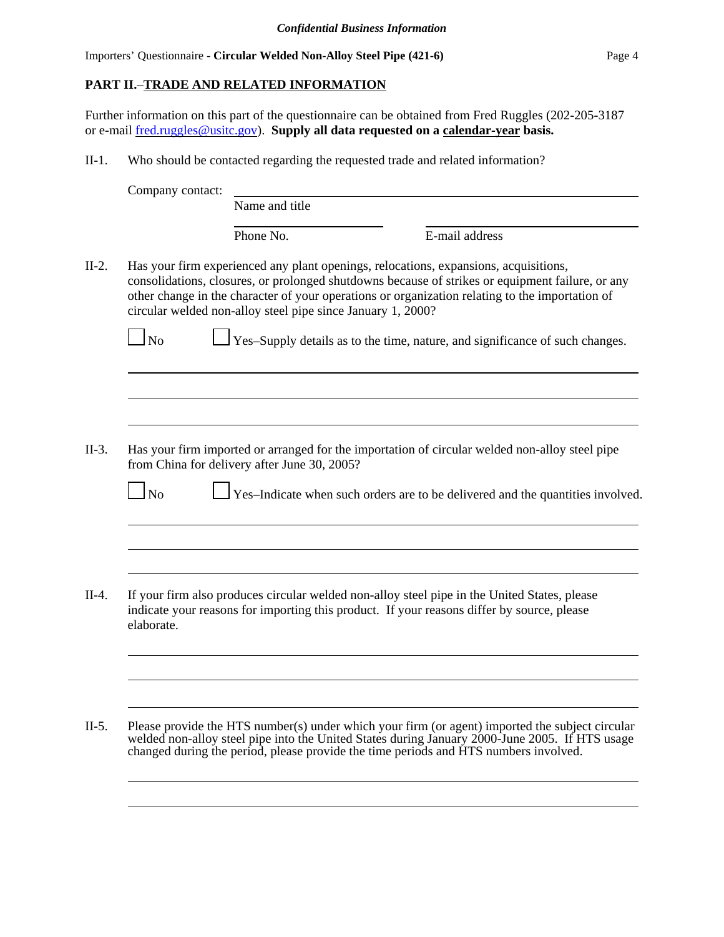## **PART II.**–**TRADE AND RELATED INFORMATION**

Further information on this part of the questionnaire can be obtained from Fred Ruggles (202-205-3187 or e-mail fred.ruggles@usitc.gov). **Supply all data requested on a calendar-year basis.**

II-1. Who should be contacted regarding the requested trade and related information?

|            | Name and title                                              |                                                                                                                                                                                                                                                                                                                                                                             |
|------------|-------------------------------------------------------------|-----------------------------------------------------------------------------------------------------------------------------------------------------------------------------------------------------------------------------------------------------------------------------------------------------------------------------------------------------------------------------|
|            | Phone No.                                                   | E-mail address                                                                                                                                                                                                                                                                                                                                                              |
| $\log$     | circular welded non-alloy steel pipe since January 1, 2000? | Has your firm experienced any plant openings, relocations, expansions, acquisitions,<br>consolidations, closures, or prolonged shutdowns because of strikes or equipment failure, or any<br>other change in the character of your operations or organization relating to the importation of<br>Yes-Supply details as to the time, nature, and significance of such changes. |
|            | from China for delivery after June 30, 2005?                | Has your firm imported or arranged for the importation of circular welded non-alloy steel pipe                                                                                                                                                                                                                                                                              |
|            |                                                             |                                                                                                                                                                                                                                                                                                                                                                             |
| $\Box$ No  |                                                             |                                                                                                                                                                                                                                                                                                                                                                             |
|            |                                                             | Yes-Indicate when such orders are to be delivered and the quantities involved.                                                                                                                                                                                                                                                                                              |
| elaborate. |                                                             | If your firm also produces circular welded non-alloy steel pipe in the United States, please<br>indicate your reasons for importing this product. If your reasons differ by source, please                                                                                                                                                                                  |
|            |                                                             | Please provide the HTS number(s) under which your firm (or agent) imported the subject circular                                                                                                                                                                                                                                                                             |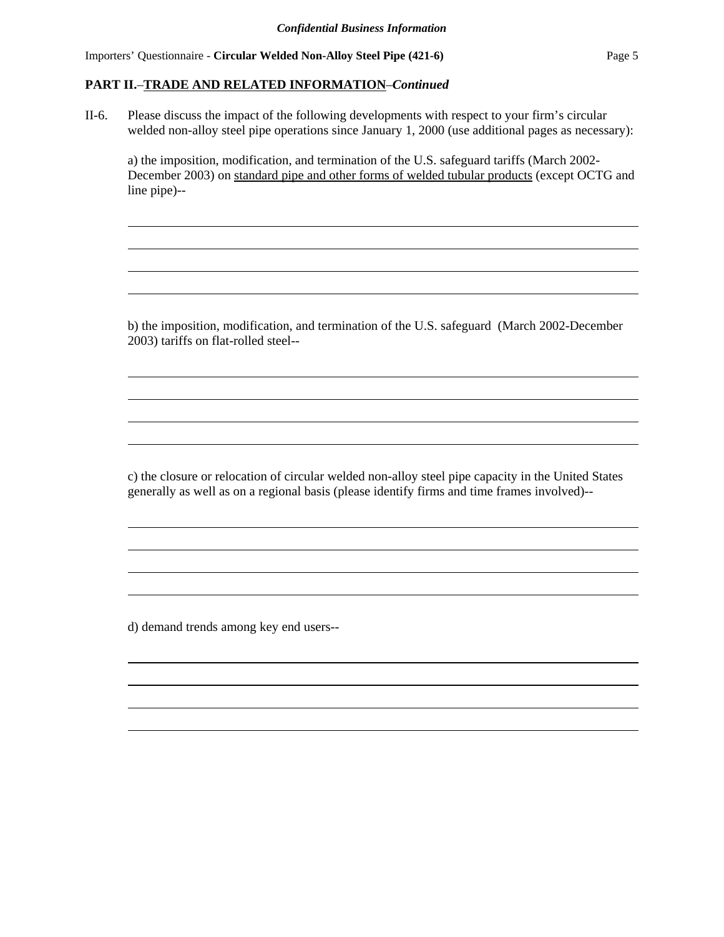Importers' Questionnaire - **Circular Welded Non-Alloy Steel Pipe (421-6)** Page 5

#### **PART II.**–**TRADE AND RELATED INFORMATION**–*Continued*

II-6. Please discuss the impact of the following developments with respect to your firm's circular welded non-alloy steel pipe operations since January 1, 2000 (use additional pages as necessary):

a) the imposition, modification, and termination of the U.S. safeguard tariffs (March 2002- December 2003) on standard pipe and other forms of welded tubular products (except OCTG and line pipe)--

b) the imposition, modification, and termination of the U.S. safeguard (March 2002-December 2003) tariffs on flat-rolled steel--

c) the closure or relocation of circular welded non-alloy steel pipe capacity in the United States generally as well as on a regional basis (please identify firms and time frames involved)--

d) demand trends among key end users--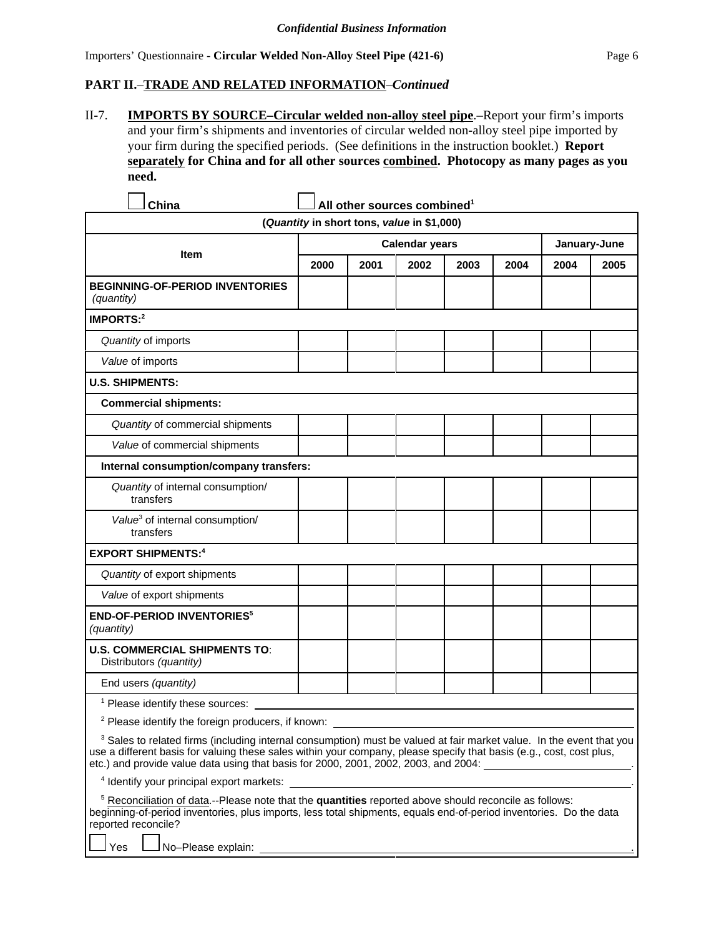## **PART II.**–**TRADE AND RELATED INFORMATION**–*Continued*

L,  $\overline{\phantom{a}}$ 

II-7. **IMPORTS BY SOURCE–Circular welded non-alloy steel pipe**.–Report your firm's imports and your firm's shipments and inventories of circular welded non-alloy steel pipe imported by your firm during the specified periods. (See definitions in the instruction booklet.) **Report separately for China and for all other sources combined. Photocopy as many pages as you need.**

| China                                                                                                                                                                                                                                                                                                                                                          |      | All other sources combined <sup>1</sup>               |              |      |      |      |      |
|----------------------------------------------------------------------------------------------------------------------------------------------------------------------------------------------------------------------------------------------------------------------------------------------------------------------------------------------------------------|------|-------------------------------------------------------|--------------|------|------|------|------|
|                                                                                                                                                                                                                                                                                                                                                                |      | (Quantity in short tons, value in \$1,000)            |              |      |      |      |      |
|                                                                                                                                                                                                                                                                                                                                                                |      | <b>Calendar years</b>                                 | January-June |      |      |      |      |
| <b>Item</b>                                                                                                                                                                                                                                                                                                                                                    | 2000 | 2001                                                  | 2002         | 2003 | 2004 | 2004 | 2005 |
| <b>BEGINNING-OF-PERIOD INVENTORIES</b><br>(quantity)                                                                                                                                                                                                                                                                                                           |      |                                                       |              |      |      |      |      |
| IMPORTS:2                                                                                                                                                                                                                                                                                                                                                      |      |                                                       |              |      |      |      |      |
| Quantity of imports                                                                                                                                                                                                                                                                                                                                            |      |                                                       |              |      |      |      |      |
| Value of imports                                                                                                                                                                                                                                                                                                                                               |      |                                                       |              |      |      |      |      |
| <b>U.S. SHIPMENTS:</b>                                                                                                                                                                                                                                                                                                                                         |      |                                                       |              |      |      |      |      |
| <b>Commercial shipments:</b>                                                                                                                                                                                                                                                                                                                                   |      |                                                       |              |      |      |      |      |
| Quantity of commercial shipments                                                                                                                                                                                                                                                                                                                               |      |                                                       |              |      |      |      |      |
| Value of commercial shipments                                                                                                                                                                                                                                                                                                                                  |      |                                                       |              |      |      |      |      |
| Internal consumption/company transfers:                                                                                                                                                                                                                                                                                                                        |      |                                                       |              |      |      |      |      |
| Quantity of internal consumption/<br>transfers                                                                                                                                                                                                                                                                                                                 |      |                                                       |              |      |      |      |      |
| Value <sup>3</sup> of internal consumption/<br>transfers                                                                                                                                                                                                                                                                                                       |      |                                                       |              |      |      |      |      |
| <b>EXPORT SHIPMENTS:4</b>                                                                                                                                                                                                                                                                                                                                      |      |                                                       |              |      |      |      |      |
| Quantity of export shipments                                                                                                                                                                                                                                                                                                                                   |      |                                                       |              |      |      |      |      |
| Value of export shipments                                                                                                                                                                                                                                                                                                                                      |      |                                                       |              |      |      |      |      |
| <b>END-OF-PERIOD INVENTORIES<sup>5</sup></b><br>(quantity)                                                                                                                                                                                                                                                                                                     |      |                                                       |              |      |      |      |      |
| <b>U.S. COMMERCIAL SHIPMENTS TO:</b><br>Distributors (quantity)                                                                                                                                                                                                                                                                                                |      |                                                       |              |      |      |      |      |
| End users (quantity)                                                                                                                                                                                                                                                                                                                                           |      |                                                       |              |      |      |      |      |
| <sup>1</sup> Please identify these sources:                                                                                                                                                                                                                                                                                                                    |      |                                                       |              |      |      |      |      |
| <sup>2</sup> Please identify the foreign producers, if known:                                                                                                                                                                                                                                                                                                  |      |                                                       |              |      |      |      |      |
| <sup>3</sup> Sales to related firms (including internal consumption) must be valued at fair market value. In the event that you<br>use a different basis for valuing these sales within your company, please specify that basis (e.g., cost, cost plus,<br>etc.) and provide value data using that basis for 2000, 2001, 2002, 2003, and 2004: _______________ |      |                                                       |              |      |      |      |      |
| <sup>4</sup> Identify your principal export markets:                                                                                                                                                                                                                                                                                                           |      |                                                       |              |      |      |      |      |
| <sup>5</sup> Reconciliation of data.--Please note that the quantities reported above should reconcile as follows:<br>beginning-of-period inventories, plus imports, less total shipments, equals end-of-period inventories. Do the data<br>reported reconcile?                                                                                                 |      |                                                       |              |      |      |      |      |
| No-Please explain:<br>Yes                                                                                                                                                                                                                                                                                                                                      |      | <u> 1980 - Johann Stoff, fransk politik (d. 1980)</u> |              |      |      |      |      |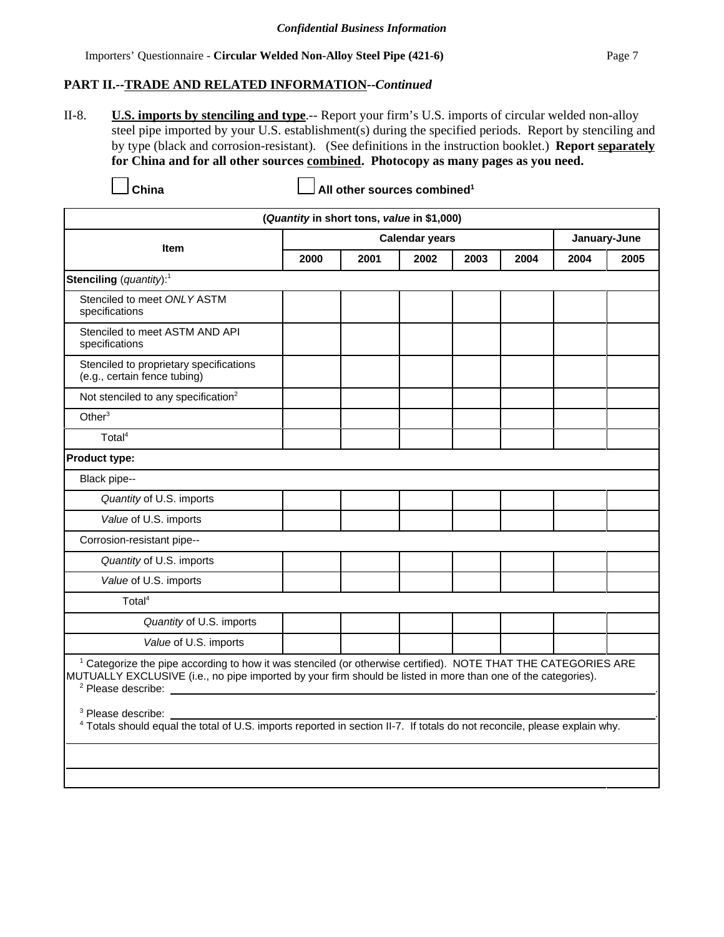#### **PART II.--TRADE AND RELATED INFORMATION--***Continued*

II-8. **U.S. imports by stenciling and type**.-- Report your firm's U.S. imports of circular welded non-alloy steel pipe imported by your U.S. establishment(s) during the specified periods. Report by stenciling and by type (black and corrosion-resistant). (See definitions in the instruction booklet.) **Report separately for China and for all other sources combined. Photocopy as many pages as you need.**

**China China China China China China China China China China China China China China China China China China China China China China China China China China China China** 

| (Quantity in short tons, value in \$1,000)                                                                                                                                                                                                                                                                                                                                                                                                           |      |      |                       |      |      |      |              |  |
|------------------------------------------------------------------------------------------------------------------------------------------------------------------------------------------------------------------------------------------------------------------------------------------------------------------------------------------------------------------------------------------------------------------------------------------------------|------|------|-----------------------|------|------|------|--------------|--|
| <b>Item</b>                                                                                                                                                                                                                                                                                                                                                                                                                                          |      |      | <b>Calendar years</b> |      |      |      | January-June |  |
|                                                                                                                                                                                                                                                                                                                                                                                                                                                      | 2000 | 2001 | 2002                  | 2003 | 2004 | 2004 | 2005         |  |
| Stenciling (quantity): <sup>1</sup>                                                                                                                                                                                                                                                                                                                                                                                                                  |      |      |                       |      |      |      |              |  |
| Stenciled to meet ONLY ASTM<br>specifications                                                                                                                                                                                                                                                                                                                                                                                                        |      |      |                       |      |      |      |              |  |
| Stenciled to meet ASTM AND API<br>specifications                                                                                                                                                                                                                                                                                                                                                                                                     |      |      |                       |      |      |      |              |  |
| Stenciled to proprietary specifications<br>(e.g., certain fence tubing)                                                                                                                                                                                                                                                                                                                                                                              |      |      |                       |      |      |      |              |  |
| Not stenciled to any specification <sup>2</sup>                                                                                                                                                                                                                                                                                                                                                                                                      |      |      |                       |      |      |      |              |  |
| Other <sup>3</sup>                                                                                                                                                                                                                                                                                                                                                                                                                                   |      |      |                       |      |      |      |              |  |
| Total <sup>4</sup>                                                                                                                                                                                                                                                                                                                                                                                                                                   |      |      |                       |      |      |      |              |  |
| <b>Product type:</b>                                                                                                                                                                                                                                                                                                                                                                                                                                 |      |      |                       |      |      |      |              |  |
| Black pipe--                                                                                                                                                                                                                                                                                                                                                                                                                                         |      |      |                       |      |      |      |              |  |
| Quantity of U.S. imports                                                                                                                                                                                                                                                                                                                                                                                                                             |      |      |                       |      |      |      |              |  |
| Value of U.S. imports                                                                                                                                                                                                                                                                                                                                                                                                                                |      |      |                       |      |      |      |              |  |
| Corrosion-resistant pipe--                                                                                                                                                                                                                                                                                                                                                                                                                           |      |      |                       |      |      |      |              |  |
| Quantity of U.S. imports                                                                                                                                                                                                                                                                                                                                                                                                                             |      |      |                       |      |      |      |              |  |
| Value of U.S. imports                                                                                                                                                                                                                                                                                                                                                                                                                                |      |      |                       |      |      |      |              |  |
| Total <sup>4</sup>                                                                                                                                                                                                                                                                                                                                                                                                                                   |      |      |                       |      |      |      |              |  |
| Quantity of U.S. imports                                                                                                                                                                                                                                                                                                                                                                                                                             |      |      |                       |      |      |      |              |  |
| Value of U.S. imports                                                                                                                                                                                                                                                                                                                                                                                                                                |      |      |                       |      |      |      |              |  |
| <sup>1</sup> Categorize the pipe according to how it was stenciled (or otherwise certified). NOTE THAT THE CATEGORIES ARE<br>MUTUALLY EXCLUSIVE (i.e., no pipe imported by your firm should be listed in more than one of the categories).<br><sup>2</sup> Please describe:<br><sup>3</sup> Please describe:<br><sup>4</sup> Totals should equal the total of U.S. imports reported in section II-7. If totals do not reconcile, please explain why. |      |      |                       |      |      |      |              |  |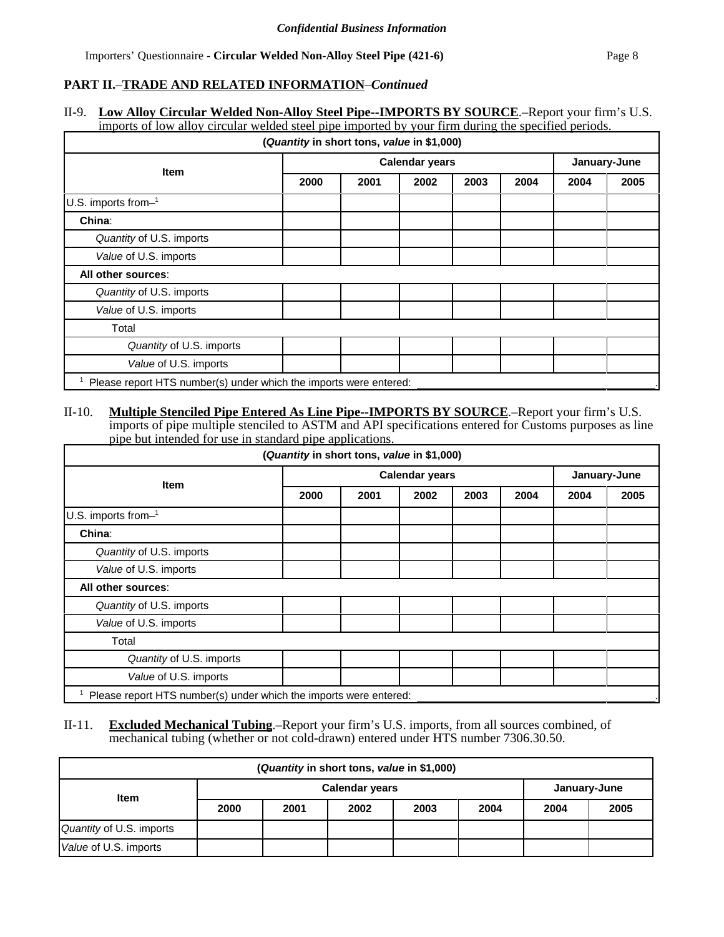## **PART II.**–**TRADE AND RELATED INFORMATION**–*Continued*

#### II-9. **Low Alloy Circular Welded Non-Alloy Steel Pipe--IMPORTS BY SOURCE**.–Report your firm's U.S. imports of low alloy circular welded steel pipe imported by your firm during the specified periods.

|                                                                   | (Quantity in short tons, value in \$1,000) |              |      |      |      |      |      |
|-------------------------------------------------------------------|--------------------------------------------|--------------|------|------|------|------|------|
|                                                                   |                                            | January-June |      |      |      |      |      |
| <b>Item</b>                                                       | 2000                                       | 2001         | 2002 | 2003 | 2004 | 2004 | 2005 |
| U.S. imports from-1                                               |                                            |              |      |      |      |      |      |
| China:                                                            |                                            |              |      |      |      |      |      |
| Quantity of U.S. imports                                          |                                            |              |      |      |      |      |      |
| Value of U.S. imports                                             |                                            |              |      |      |      |      |      |
| All other sources:                                                |                                            |              |      |      |      |      |      |
| Quantity of U.S. imports                                          |                                            |              |      |      |      |      |      |
| Value of U.S. imports                                             |                                            |              |      |      |      |      |      |
| Total                                                             |                                            |              |      |      |      |      |      |
| Quantity of U.S. imports                                          |                                            |              |      |      |      |      |      |
| Value of U.S. imports                                             |                                            |              |      |      |      |      |      |
| Please report HTS number(s) under which the imports were entered: |                                            |              |      |      |      |      |      |

#### II-10. **Multiple Stenciled Pipe Entered As Line Pipe--IMPORTS BY SOURCE**.–Report your firm's U.S. imports of pipe multiple stenciled to ASTM and API specifications entered for Customs purposes as line pipe but intended for use in standard pipe applications.

| (Quantity in short tons, value in \$1,000)                        |                       |      |      |      |              |      |      |
|-------------------------------------------------------------------|-----------------------|------|------|------|--------------|------|------|
| <b>Item</b>                                                       | <b>Calendar years</b> |      |      |      | January-June |      |      |
|                                                                   | 2000                  | 2001 | 2002 | 2003 | 2004         | 2004 | 2005 |
| $U.S.$ imports from- $1$                                          |                       |      |      |      |              |      |      |
| China:                                                            |                       |      |      |      |              |      |      |
| Quantity of U.S. imports                                          |                       |      |      |      |              |      |      |
| Value of U.S. imports                                             |                       |      |      |      |              |      |      |
| All other sources:                                                |                       |      |      |      |              |      |      |
| Quantity of U.S. imports                                          |                       |      |      |      |              |      |      |
| Value of U.S. imports                                             |                       |      |      |      |              |      |      |
| Total                                                             |                       |      |      |      |              |      |      |
| Quantity of U.S. imports                                          |                       |      |      |      |              |      |      |
| Value of U.S. imports                                             |                       |      |      |      |              |      |      |
| Please report HTS number(s) under which the imports were entered: |                       |      |      |      |              |      |      |

#### II-11. **Excluded Mechanical Tubing**.–Report your firm's U.S. imports, from all sources combined, of mechanical tubing (whether or not cold-drawn) entered under HTS number 7306.30.50.

| (Quantity in short tons, value in \$1,000) |                                       |      |      |      |      |      |      |
|--------------------------------------------|---------------------------------------|------|------|------|------|------|------|
| <b>Item</b>                                | <b>Calendar years</b><br>January-June |      |      |      |      |      |      |
|                                            | 2000                                  | 2001 | 2002 | 2003 | 2004 | 2004 | 2005 |
| Quantity of U.S. imports                   |                                       |      |      |      |      |      |      |
| Value of U.S. imports                      |                                       |      |      |      |      |      |      |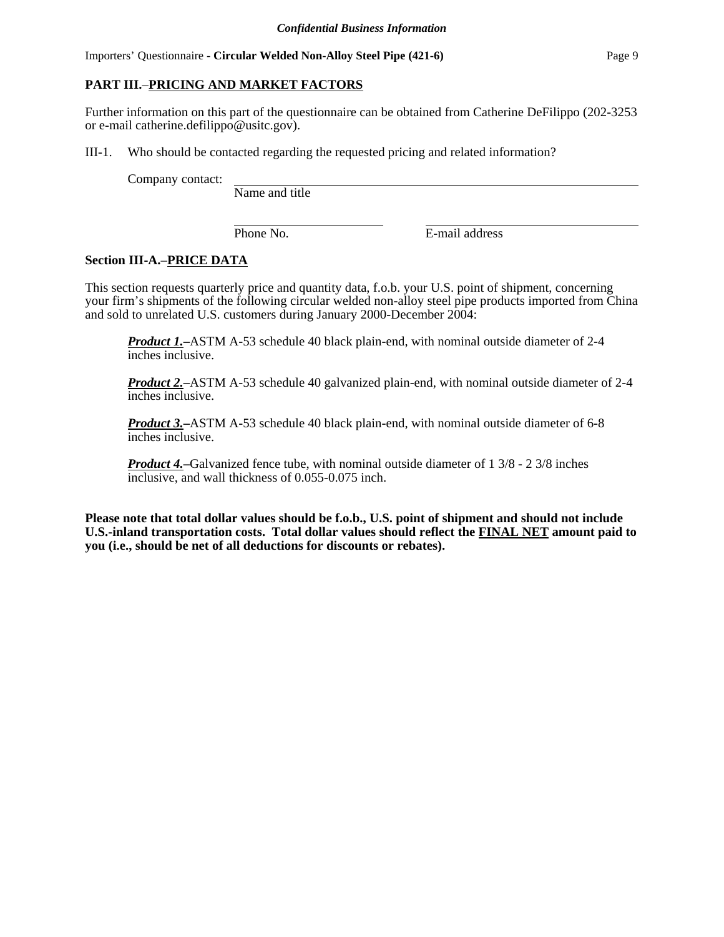Importers' Questionnaire - **Circular Welded Non-Alloy Steel Pipe (421-6)** Page 9

#### **PART III.**–**PRICING AND MARKET FACTORS**

Further information on this part of the questionnaire can be obtained from Catherine DeFilippo (202-3253 or e-mail catherine.defilippo@usitc.gov).

III-1. Who should be contacted regarding the requested pricing and related information?

Company contact:

Name and title

Phone No. **E-mail address** 

#### **Section III-A.**–**PRICE DATA**

This section requests quarterly price and quantity data, f.o.b. your U.S. point of shipment, concerning your firm's shipments of the following circular welded non-alloy steel pipe products imported from China and sold to unrelated U.S. customers during January 2000-December 2004:

*Product 1.***–**ASTM A-53 schedule 40 black plain-end, with nominal outside diameter of 2-4 inches inclusive.

*Product 2.***–**ASTM A-53 schedule 40 galvanized plain-end, with nominal outside diameter of 2-4 inches inclusive.

*Product 3.***–**ASTM A-53 schedule 40 black plain-end, with nominal outside diameter of 6-8 inches inclusive.

*Product 4.***–**Galvanized fence tube, with nominal outside diameter of 1 3/8 - 2 3/8 inches inclusive, and wall thickness of 0.055-0.075 inch.

**Please note that total dollar values should be f.o.b., U.S. point of shipment and should not include U.S.-inland transportation costs. Total dollar values should reflect the FINAL NET amount paid to you (i.e., should be net of all deductions for discounts or rebates).**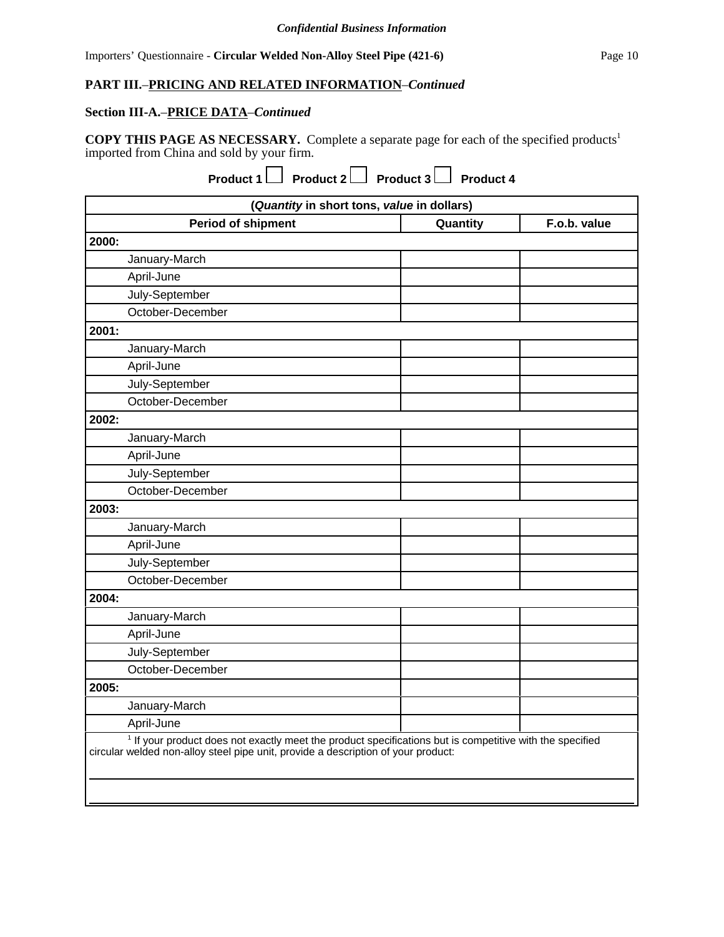#### **Section III-A.**–**PRICE DATA**–*Continued*

**COPY THIS PAGE AS NECESSARY.** Complete a separate page for each of the specified products1 imported from China and sold by your firm.

**Product 1** Product 2 Product 3 Product 4

| (Quantity in short tons, value in dollars)                                                                                                                                                               |          |              |  |  |  |
|----------------------------------------------------------------------------------------------------------------------------------------------------------------------------------------------------------|----------|--------------|--|--|--|
| <b>Period of shipment</b>                                                                                                                                                                                | Quantity | F.o.b. value |  |  |  |
| 2000:                                                                                                                                                                                                    |          |              |  |  |  |
| January-March                                                                                                                                                                                            |          |              |  |  |  |
| April-June                                                                                                                                                                                               |          |              |  |  |  |
| July-September                                                                                                                                                                                           |          |              |  |  |  |
| October-December                                                                                                                                                                                         |          |              |  |  |  |
| 2001:                                                                                                                                                                                                    |          |              |  |  |  |
| January-March                                                                                                                                                                                            |          |              |  |  |  |
| April-June                                                                                                                                                                                               |          |              |  |  |  |
| July-September                                                                                                                                                                                           |          |              |  |  |  |
| October-December                                                                                                                                                                                         |          |              |  |  |  |
| 2002:                                                                                                                                                                                                    |          |              |  |  |  |
| January-March                                                                                                                                                                                            |          |              |  |  |  |
| April-June                                                                                                                                                                                               |          |              |  |  |  |
| July-September                                                                                                                                                                                           |          |              |  |  |  |
| October-December                                                                                                                                                                                         |          |              |  |  |  |
| 2003:                                                                                                                                                                                                    |          |              |  |  |  |
| January-March                                                                                                                                                                                            |          |              |  |  |  |
| April-June                                                                                                                                                                                               |          |              |  |  |  |
| July-September                                                                                                                                                                                           |          |              |  |  |  |
| October-December                                                                                                                                                                                         |          |              |  |  |  |
| 2004:                                                                                                                                                                                                    |          |              |  |  |  |
| January-March                                                                                                                                                                                            |          |              |  |  |  |
| April-June                                                                                                                                                                                               |          |              |  |  |  |
| July-September                                                                                                                                                                                           |          |              |  |  |  |
| October-December                                                                                                                                                                                         |          |              |  |  |  |
| 2005:                                                                                                                                                                                                    |          |              |  |  |  |
| January-March                                                                                                                                                                                            |          |              |  |  |  |
| April-June                                                                                                                                                                                               |          |              |  |  |  |
| <sup>1</sup> If your product does not exactly meet the product specifications but is competitive with the specified<br>circular welded non-alloy steel pipe unit, provide a description of your product: |          |              |  |  |  |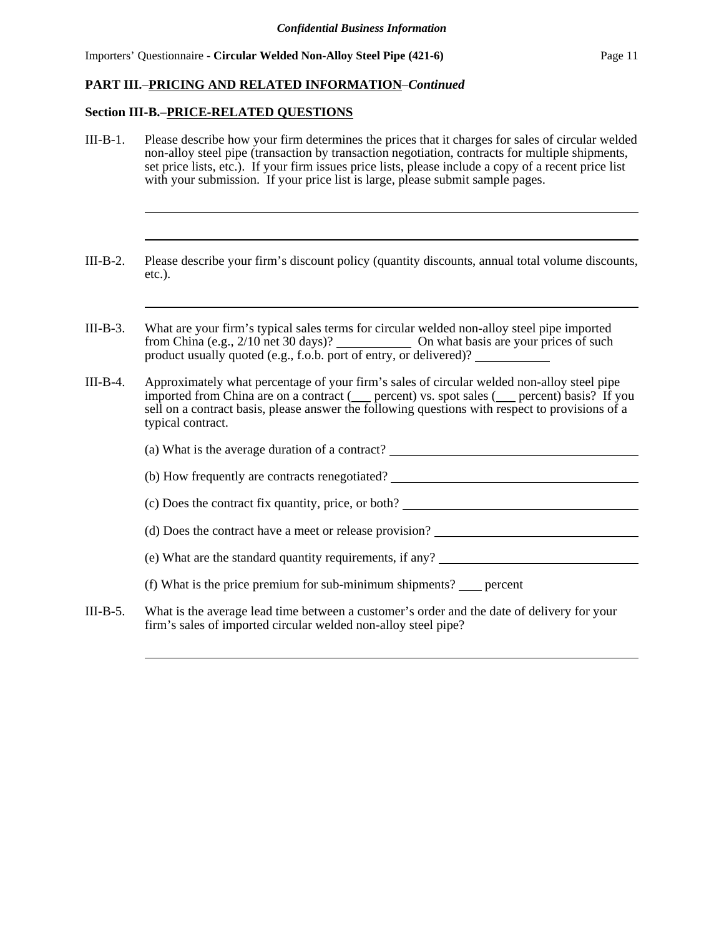#### **Section III-B.**–**PRICE-RELATED QUESTIONS**

- III-B-1. Please describe how your firm determines the prices that it charges for sales of circular welded non-alloy steel pipe (transaction by transaction negotiation, contracts for multiple shipments, set price lists, etc.). If your firm issues price lists, please include a copy of a recent price list with your submission. If your price list is large, please submit sample pages.
- III-B-2. Please describe your firm's discount policy (quantity discounts, annual total volume discounts, etc.).
- III-B-3. What are your firm's typical sales terms for circular welded non-alloy steel pipe imported from China (e.g., 2/10 net 30 days)? On what basis are your prices of such product usually quoted (e.g., f.o.b. port of entry, or delivered)?
- III-B-4. Approximately what percentage of your firm's sales of circular welded non-alloy steel pipe imported from China are on a contract (supercent) vs. spot sales (supercent) basis? If you sell on a contract basis, please answer the following questions with respect to provisions of a typical contract.

|          | (a) What is the average duration of a contract?                                            |
|----------|--------------------------------------------------------------------------------------------|
|          | (b) How frequently are contracts renegotiated?                                             |
|          | (c) Does the contract fix quantity, price, or both?                                        |
|          | (d) Does the contract have a meet or release provision?                                    |
|          | (e) What are the standard quantity requirements, if any?                                   |
|          | (f) What is the price premium for sub-minimum shipments? _____ percent                     |
| III-B-5. | What is the average lead time between a customer's order and the date of delivery for your |

firm's sales of imported circular welded non-alloy steel pipe?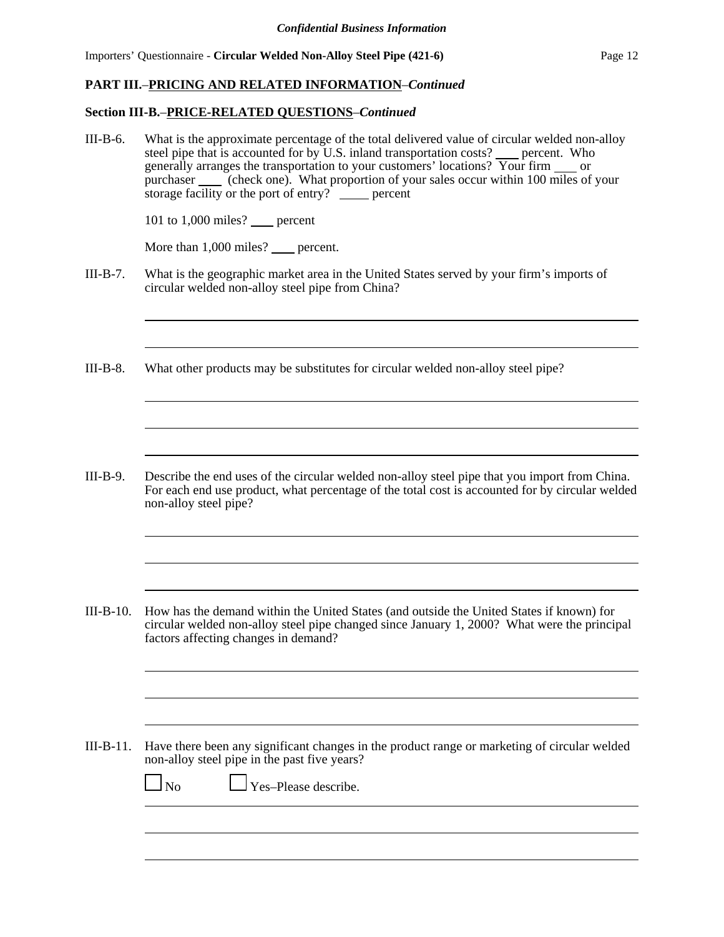#### **Section III-B.**–**PRICE-RELATED QUESTIONS**–*Continued*

III-B-6. What is the approximate percentage of the total delivered value of circular welded non-alloy steel pipe that is accounted for by U.S. inland transportation costs?  $\_\_$  percent. Who generally arranges the transportation to your customers' locations? Your firm  $\_\_$  or purchaser (check one). What proportion of your sales occur within 100 miles of your storage facility or the port of entry? <u>percent</u> 101 to  $1,000$  miles? percent More than 1,000 miles? percent. III-B-7. What is the geographic market area in the United States served by your firm's imports of circular welded non-alloy steel pipe from China? III-B-8. What other products may be substitutes for circular welded non-alloy steel pipe? III-B-9. Describe the end uses of the circular welded non-alloy steel pipe that you import from China. For each end use product, what percentage of the total cost is accounted for by circular welded non-alloy steel pipe? III-B-10. How has the demand within the United States (and outside the United States if known) for circular welded non-alloy steel pipe changed since January 1, 2000? What were the principal factors affecting changes in demand? III-B-11. Have there been any significant changes in the product range or marketing of circular welded non-alloy steel pipe in the past five years?  $\Box$  No  $\Box$  Yes–Please describe.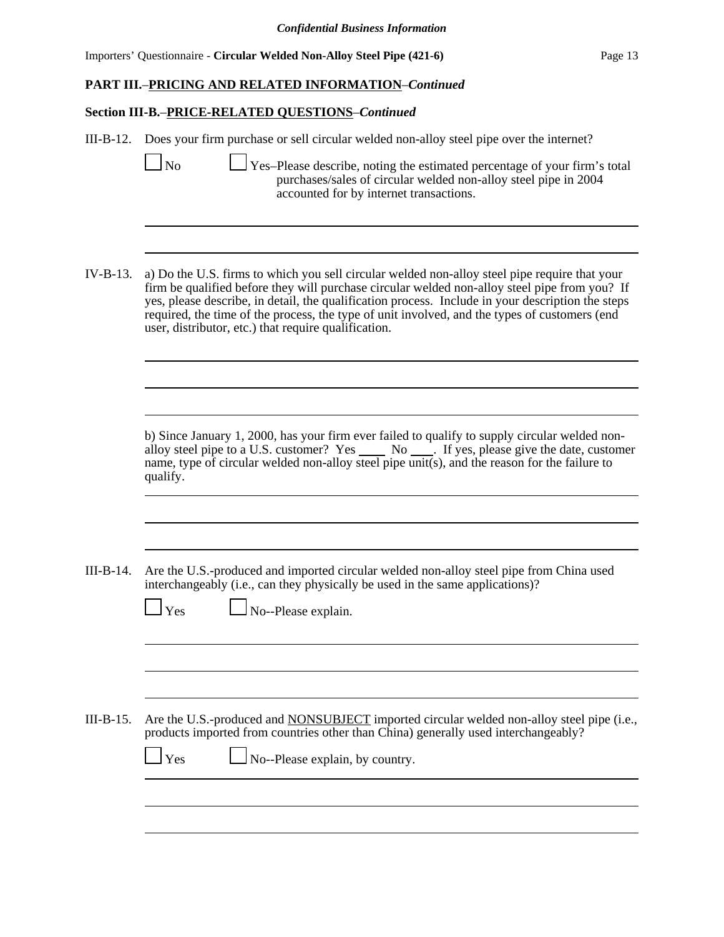## **Section III-B.**–**PRICE-RELATED QUESTIONS**–*Continued*

|           | III-B-12. Does your firm purchase or sell circular welded non-alloy steel pipe over the internet?<br>$\log$<br>Yes-Please describe, noting the estimated percentage of your firm's total<br>purchases/sales of circular welded non-alloy steel pipe in 2004<br>accounted for by internet transactions.                                                                                                                                                       |
|-----------|--------------------------------------------------------------------------------------------------------------------------------------------------------------------------------------------------------------------------------------------------------------------------------------------------------------------------------------------------------------------------------------------------------------------------------------------------------------|
| IV-B-13.  | a) Do the U.S. firms to which you sell circular welded non-alloy steel pipe require that your<br>firm be qualified before they will purchase circular welded non-alloy steel pipe from you? If<br>yes, please describe, in detail, the qualification process. Include in your description the steps<br>required, the time of the process, the type of unit involved, and the types of customers (end<br>user, distributor, etc.) that require qualification. |
|           | b) Since January 1, 2000, has your firm ever failed to qualify to supply circular welded non-<br>alloy steel pipe to a U.S. customer? Yes ______ No _____. If yes, please give the date, customer<br>name, type of circular welded non-alloy steel pipe unit(s), and the reason for the failure to<br>qualify.                                                                                                                                               |
| III-B-14. | Are the U.S.-produced and imported circular welded non-alloy steel pipe from China used<br>interchangeably (i.e., can they physically be used in the same applications)?<br>$\mathbf{\mathbf{\mathsf{\Gamma}}}\mathbf{Yes}$<br>No--Please explain.                                                                                                                                                                                                           |
| III-B-15. | Are the U.S.-produced and <b>NONSUBJECT</b> imported circular welded non-alloy steel pipe (i.e.,<br>products imported from countries other than China) generally used interchangeably?<br>Yes<br>No--Please explain, by country.                                                                                                                                                                                                                             |
|           |                                                                                                                                                                                                                                                                                                                                                                                                                                                              |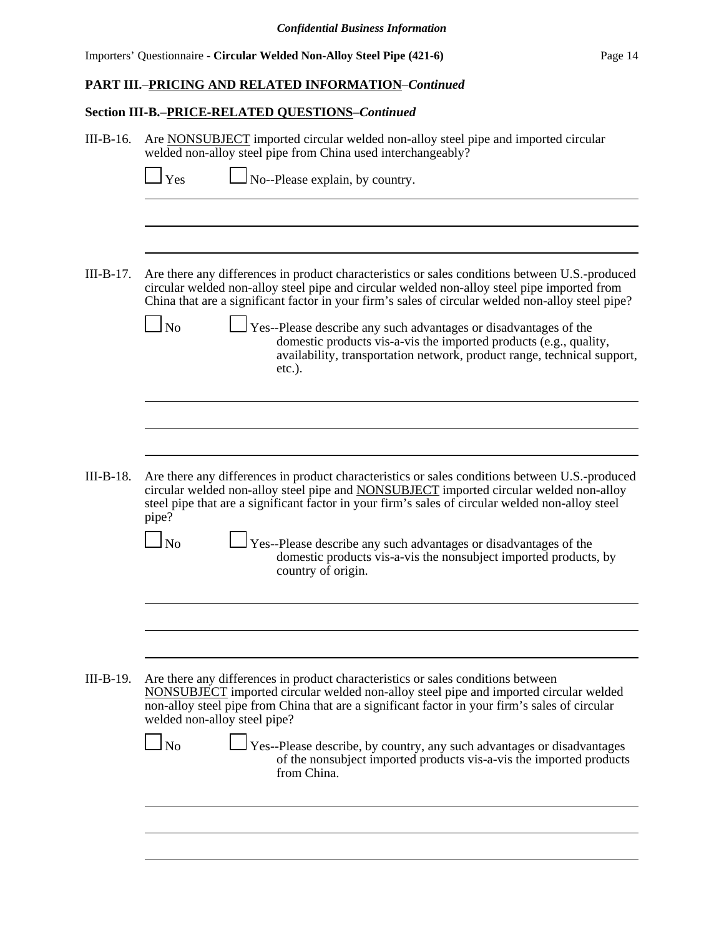## **Section III-B.**–**PRICE-RELATED QUESTIONS**–*Continued*

| $III-B-16.$ | Are NONSUBJECT imported circular welded non-alloy steel pipe and imported circular<br>welded non-alloy steel pipe from China used interchangeably?                                                                                                                                                                                                                                                                                                                                                                                               |  |  |  |  |  |  |
|-------------|--------------------------------------------------------------------------------------------------------------------------------------------------------------------------------------------------------------------------------------------------------------------------------------------------------------------------------------------------------------------------------------------------------------------------------------------------------------------------------------------------------------------------------------------------|--|--|--|--|--|--|
|             | No--Please explain, by country.<br>Yes                                                                                                                                                                                                                                                                                                                                                                                                                                                                                                           |  |  |  |  |  |  |
|             |                                                                                                                                                                                                                                                                                                                                                                                                                                                                                                                                                  |  |  |  |  |  |  |
| $III-B-17.$ | Are there any differences in product characteristics or sales conditions between U.S.-produced<br>circular welded non-alloy steel pipe and circular welded non-alloy steel pipe imported from<br>China that are a significant factor in your firm's sales of circular welded non-alloy steel pipe?<br>$\Box$ No<br>Yes--Please describe any such advantages or disadvantages of the<br>domestic products vis-a-vis the imported products (e.g., quality,<br>availability, transportation network, product range, technical support,<br>$etc.$ ). |  |  |  |  |  |  |
|             |                                                                                                                                                                                                                                                                                                                                                                                                                                                                                                                                                  |  |  |  |  |  |  |
| $III-B-18.$ | Are there any differences in product characteristics or sales conditions between U.S.-produced<br>circular welded non-alloy steel pipe and <b>NONSUBJECT</b> imported circular welded non-alloy<br>steel pipe that are a significant factor in your firm's sales of circular welded non-alloy steel<br>pipe?                                                                                                                                                                                                                                     |  |  |  |  |  |  |
|             | $\ln$<br>Yes--Please describe any such advantages or disadvantages of the<br>domestic products vis-a-vis the nonsubject imported products, by<br>country of origin.                                                                                                                                                                                                                                                                                                                                                                              |  |  |  |  |  |  |
|             |                                                                                                                                                                                                                                                                                                                                                                                                                                                                                                                                                  |  |  |  |  |  |  |
| $III-B-19.$ | Are there any differences in product characteristics or sales conditions between<br>NONSUBJECT imported circular welded non-alloy steel pipe and imported circular welded<br>non-alloy steel pipe from China that are a significant factor in your firm's sales of circular<br>welded non-alloy steel pipe?<br>$\Box$ No<br>Yes--Please describe, by country, any such advantages or disadvantages                                                                                                                                               |  |  |  |  |  |  |
|             | of the nonsubject imported products vis-a-vis the imported products<br>from China.                                                                                                                                                                                                                                                                                                                                                                                                                                                               |  |  |  |  |  |  |
|             |                                                                                                                                                                                                                                                                                                                                                                                                                                                                                                                                                  |  |  |  |  |  |  |